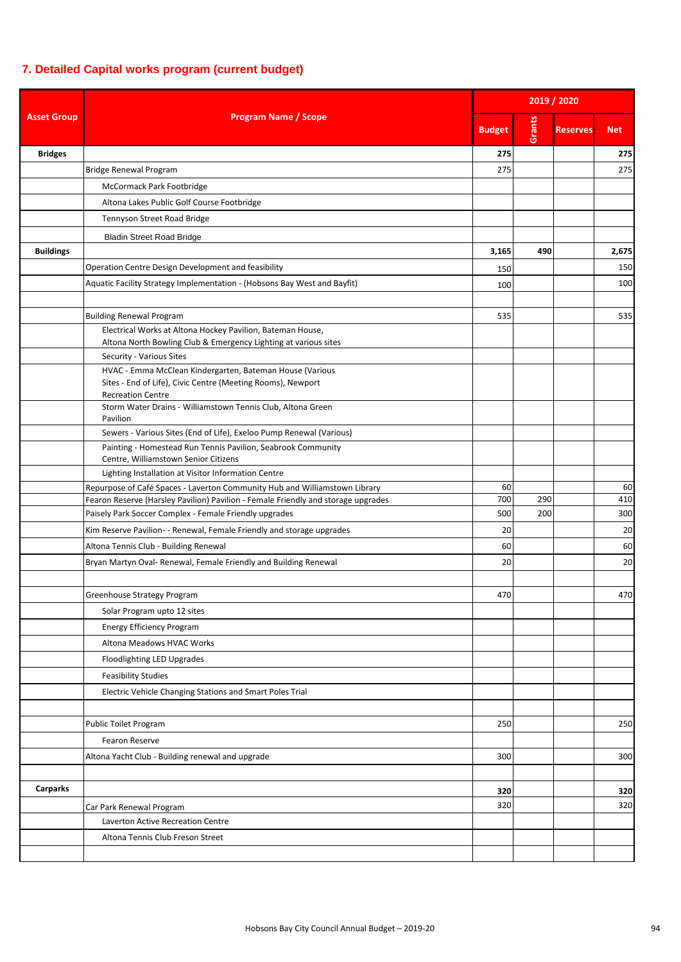## **7. Detailed Capital works program (current budget)**

| <b>Program Name / Scope</b><br><b>Asset Group</b> |                                                                                               | 2019 / 2020   |        |                 |            |  |
|---------------------------------------------------|-----------------------------------------------------------------------------------------------|---------------|--------|-----------------|------------|--|
|                                                   |                                                                                               | <b>Budget</b> | Grants | <b>Reserves</b> | <b>Net</b> |  |
| <b>Bridges</b>                                    |                                                                                               | 275           |        |                 | 275        |  |
|                                                   | <b>Bridge Renewal Program</b>                                                                 | 275           |        |                 | 275        |  |
|                                                   | McCormack Park Footbridge                                                                     |               |        |                 |            |  |
|                                                   | Altona Lakes Public Golf Course Footbridge                                                    |               |        |                 |            |  |
|                                                   | Tennyson Street Road Bridge                                                                   |               |        |                 |            |  |
|                                                   | <b>Bladin Street Road Bridge</b>                                                              |               |        |                 |            |  |
| <b>Buildings</b>                                  |                                                                                               | 3,165         | 490    |                 | 2,675      |  |
|                                                   | Operation Centre Design Development and feasibility                                           | 150           |        |                 | 150        |  |
|                                                   | Aquatic Facility Strategy Implementation - (Hobsons Bay West and Bayfit)                      |               |        |                 | 100        |  |
|                                                   |                                                                                               | 100           |        |                 |            |  |
|                                                   |                                                                                               |               |        |                 |            |  |
|                                                   | <b>Building Renewal Program</b><br>Electrical Works at Altona Hockey Pavilion, Bateman House, | 535           |        |                 | 535        |  |
|                                                   | Altona North Bowling Club & Emergency Lighting at various sites                               |               |        |                 |            |  |
|                                                   | Security - Various Sites                                                                      |               |        |                 |            |  |
|                                                   | HVAC - Emma McClean Kindergarten, Bateman House (Various                                      |               |        |                 |            |  |
|                                                   | Sites - End of Life), Civic Centre (Meeting Rooms), Newport                                   |               |        |                 |            |  |
|                                                   | <b>Recreation Centre</b><br>Storm Water Drains - Williamstown Tennis Club, Altona Green       |               |        |                 |            |  |
|                                                   | Pavilion                                                                                      |               |        |                 |            |  |
|                                                   | Sewers - Various Sites (End of Life), Exeloo Pump Renewal (Various)                           |               |        |                 |            |  |
|                                                   | Painting - Homestead Run Tennis Pavilion, Seabrook Community                                  |               |        |                 |            |  |
|                                                   | Centre, Williamstown Senior Citizens                                                          |               |        |                 |            |  |
|                                                   | Lighting Installation at Visitor Information Centre                                           |               |        |                 |            |  |
|                                                   | Repurpose of Café Spaces - Laverton Community Hub and Williamstown Library                    | 60            |        |                 | 60         |  |
|                                                   | Fearon Reserve (Harsley Pavilion) Pavilion - Female Friendly and storage upgrades             | 700           | 290    |                 | 410        |  |
|                                                   | Paisely Park Soccer Complex - Female Friendly upgrades                                        | 500           | 200    |                 | 300        |  |
|                                                   | Kim Reserve Pavilion- - Renewal, Female Friendly and storage upgrades                         | 20            |        |                 | 20         |  |
|                                                   | Altona Tennis Club - Building Renewal                                                         | 60            |        |                 | 60         |  |
|                                                   | Bryan Martyn Oval- Renewal, Female Friendly and Building Renewal                              | 20            |        |                 | 20         |  |
|                                                   |                                                                                               |               |        |                 |            |  |
|                                                   | Greenhouse Strategy Program                                                                   | 470           |        |                 | 470        |  |
|                                                   | Solar Program upto 12 sites                                                                   |               |        |                 |            |  |
|                                                   | <b>Energy Efficiency Program</b>                                                              |               |        |                 |            |  |
|                                                   | Altona Meadows HVAC Works                                                                     |               |        |                 |            |  |
|                                                   | Floodlighting LED Upgrades                                                                    |               |        |                 |            |  |
|                                                   | <b>Feasibility Studies</b>                                                                    |               |        |                 |            |  |
|                                                   | Electric Vehicle Changing Stations and Smart Poles Trial                                      |               |        |                 |            |  |
|                                                   |                                                                                               |               |        |                 |            |  |
|                                                   | Public Toilet Program                                                                         | 250           |        |                 | 250        |  |
|                                                   | Fearon Reserve                                                                                |               |        |                 |            |  |
|                                                   | Altona Yacht Club - Building renewal and upgrade                                              | 300           |        |                 | 300        |  |
|                                                   |                                                                                               |               |        |                 |            |  |
|                                                   |                                                                                               |               |        |                 |            |  |
| <b>Carparks</b>                                   |                                                                                               | 320           |        |                 | 320        |  |
|                                                   | Car Park Renewal Program                                                                      | 320           |        |                 | 320        |  |
|                                                   | Laverton Active Recreation Centre                                                             |               |        |                 |            |  |
|                                                   | Altona Tennis Club Freson Street                                                              |               |        |                 |            |  |
|                                                   |                                                                                               |               |        |                 |            |  |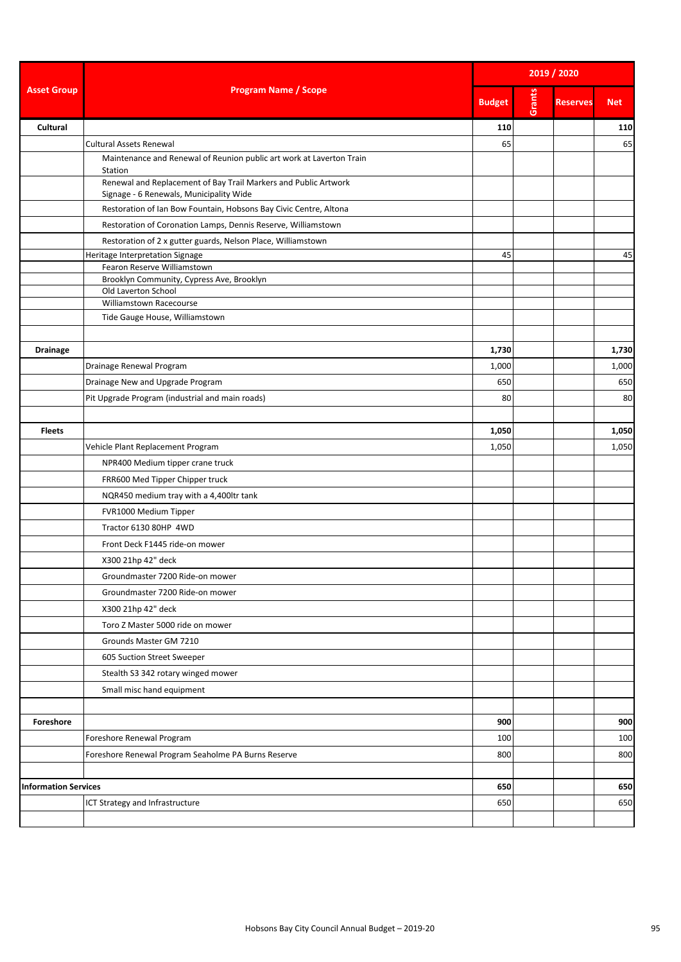|                             | <b>Program Name / Scope</b>                                                                                | 2019 / 2020   |        |                 |            |  |
|-----------------------------|------------------------------------------------------------------------------------------------------------|---------------|--------|-----------------|------------|--|
| <b>Asset Group</b>          |                                                                                                            | <b>Budget</b> | Grants | <b>Reserves</b> | <b>Net</b> |  |
| Cultural                    |                                                                                                            | 110           |        |                 | 110        |  |
|                             | <b>Cultural Assets Renewal</b>                                                                             | 65            |        |                 | 65         |  |
|                             | Maintenance and Renewal of Reunion public art work at Laverton Train<br>Station                            |               |        |                 |            |  |
|                             | Renewal and Replacement of Bay Trail Markers and Public Artwork<br>Signage - 6 Renewals, Municipality Wide |               |        |                 |            |  |
|                             | Restoration of Ian Bow Fountain, Hobsons Bay Civic Centre, Altona                                          |               |        |                 |            |  |
|                             | Restoration of Coronation Lamps, Dennis Reserve, Williamstown                                              |               |        |                 |            |  |
|                             | Restoration of 2 x gutter guards, Nelson Place, Williamstown                                               |               |        |                 |            |  |
|                             | Heritage Interpretation Signage                                                                            | 45            |        |                 | 45         |  |
|                             | Fearon Reserve Williamstown                                                                                |               |        |                 |            |  |
|                             | Brooklyn Community, Cypress Ave, Brooklyn<br>Old Laverton School                                           |               |        |                 |            |  |
|                             | Williamstown Racecourse                                                                                    |               |        |                 |            |  |
|                             | Tide Gauge House, Williamstown                                                                             |               |        |                 |            |  |
|                             |                                                                                                            |               |        |                 |            |  |
| <b>Drainage</b>             |                                                                                                            | 1,730         |        |                 | 1,730      |  |
|                             | Drainage Renewal Program                                                                                   | 1,000         |        |                 | 1,000      |  |
|                             | Drainage New and Upgrade Program                                                                           | 650           |        |                 | 650        |  |
|                             | Pit Upgrade Program (industrial and main roads)                                                            | 80            |        |                 | 80         |  |
|                             |                                                                                                            |               |        |                 |            |  |
| <b>Fleets</b>               |                                                                                                            | 1,050         |        |                 | 1,050      |  |
|                             | Vehicle Plant Replacement Program                                                                          | 1,050         |        |                 | 1,050      |  |
|                             | NPR400 Medium tipper crane truck                                                                           |               |        |                 |            |  |
|                             | FRR600 Med Tipper Chipper truck                                                                            |               |        |                 |            |  |
|                             | NQR450 medium tray with a 4,400ltr tank                                                                    |               |        |                 |            |  |
|                             | FVR1000 Medium Tipper                                                                                      |               |        |                 |            |  |
|                             | Tractor 6130 80HP 4WD                                                                                      |               |        |                 |            |  |
|                             | Front Deck F1445 ride-on mower                                                                             |               |        |                 |            |  |
|                             | X300 21hp 42" deck                                                                                         |               |        |                 |            |  |
|                             | Groundmaster 7200 Ride-on mower                                                                            |               |        |                 |            |  |
|                             | Groundmaster 7200 Ride-on mower                                                                            |               |        |                 |            |  |
|                             | X300 21hp 42" deck                                                                                         |               |        |                 |            |  |
|                             | Toro Z Master 5000 ride on mower                                                                           |               |        |                 |            |  |
|                             |                                                                                                            |               |        |                 |            |  |
|                             | Grounds Master GM 7210                                                                                     |               |        |                 |            |  |
|                             | 605 Suction Street Sweeper                                                                                 |               |        |                 |            |  |
|                             | Stealth S3 342 rotary winged mower                                                                         |               |        |                 |            |  |
|                             | Small misc hand equipment                                                                                  |               |        |                 |            |  |
|                             |                                                                                                            |               |        |                 |            |  |
| Foreshore                   |                                                                                                            | 900           |        |                 | 900        |  |
|                             | Foreshore Renewal Program                                                                                  | 100           |        |                 | 100        |  |
|                             | Foreshore Renewal Program Seaholme PA Burns Reserve                                                        | 800           |        |                 | 800        |  |
|                             |                                                                                                            |               |        |                 |            |  |
| <b>Information Services</b> |                                                                                                            | 650           |        |                 | 650        |  |
|                             | ICT Strategy and Infrastructure                                                                            | 650           |        |                 | 650        |  |
|                             |                                                                                                            |               |        |                 |            |  |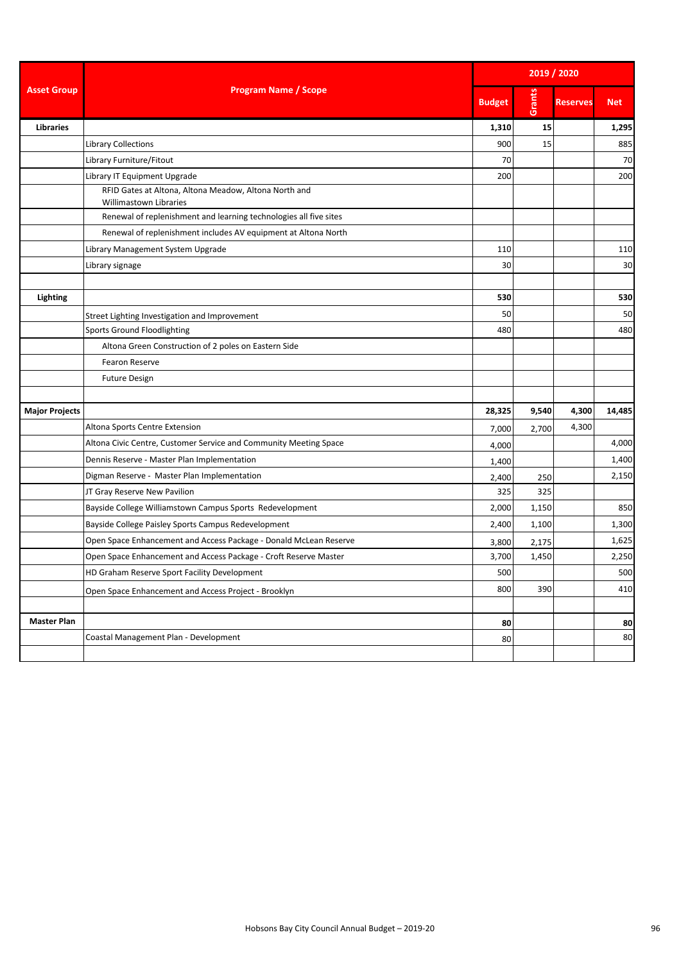|                       | <b>Program Name / Scope</b>                                                     | 2019 / 2020   |        |                 |            |  |
|-----------------------|---------------------------------------------------------------------------------|---------------|--------|-----------------|------------|--|
| <b>Asset Group</b>    |                                                                                 | <b>Budget</b> | Grants | <b>Reserves</b> | <b>Net</b> |  |
| <b>Libraries</b>      |                                                                                 | 1,310         | 15     |                 | 1,295      |  |
|                       | <b>Library Collections</b>                                                      | 900           | 15     |                 | 885        |  |
|                       | Library Furniture/Fitout                                                        | 70            |        |                 | 70         |  |
|                       | Library IT Equipment Upgrade                                                    | 200           |        |                 | 200        |  |
|                       | RFID Gates at Altona, Altona Meadow, Altona North and<br>Willimastown Libraries |               |        |                 |            |  |
|                       | Renewal of replenishment and learning technologies all five sites               |               |        |                 |            |  |
|                       | Renewal of replenishment includes AV equipment at Altona North                  |               |        |                 |            |  |
|                       | Library Management System Upgrade                                               | 110           |        |                 | 110        |  |
|                       | Library signage                                                                 | 30            |        |                 | 30         |  |
| Lighting              |                                                                                 | 530           |        |                 | 530        |  |
|                       | Street Lighting Investigation and Improvement                                   | 50            |        |                 | 50         |  |
|                       | <b>Sports Ground Floodlighting</b>                                              | 480           |        |                 | 480        |  |
|                       | Altona Green Construction of 2 poles on Eastern Side                            |               |        |                 |            |  |
|                       | Fearon Reserve                                                                  |               |        |                 |            |  |
|                       | <b>Future Design</b>                                                            |               |        |                 |            |  |
| <b>Major Projects</b> |                                                                                 | 28,325        | 9,540  | 4,300           | 14,485     |  |
|                       | Altona Sports Centre Extension                                                  | 7,000         | 2,700  | 4,300           |            |  |
|                       | Altona Civic Centre, Customer Service and Community Meeting Space               | 4,000         |        |                 | 4,000      |  |
|                       | Dennis Reserve - Master Plan Implementation                                     | 1,400         |        |                 | 1,400      |  |
|                       | Digman Reserve - Master Plan Implementation                                     | 2,400         | 250    |                 | 2,150      |  |
|                       | JT Gray Reserve New Pavilion                                                    | 325           | 325    |                 |            |  |
|                       | Bayside College Williamstown Campus Sports Redevelopment                        | 2,000         | 1,150  |                 | 850        |  |
|                       | Bayside College Paisley Sports Campus Redevelopment                             | 2,400         | 1,100  |                 | 1,300      |  |
|                       | Open Space Enhancement and Access Package - Donald McLean Reserve               | 3,800         | 2,175  |                 | 1,625      |  |
|                       | Open Space Enhancement and Access Package - Croft Reserve Master                | 3,700         | 1,450  |                 | 2,250      |  |
|                       | HD Graham Reserve Sport Facility Development                                    | 500           |        |                 | 500        |  |
|                       | Open Space Enhancement and Access Project - Brooklyn                            | 800           | 390    |                 | 410        |  |
|                       |                                                                                 |               |        |                 |            |  |
| <b>Master Plan</b>    |                                                                                 | 80            |        |                 | 80         |  |
|                       | Coastal Management Plan - Development                                           | 80            |        |                 | 80         |  |
|                       |                                                                                 |               |        |                 |            |  |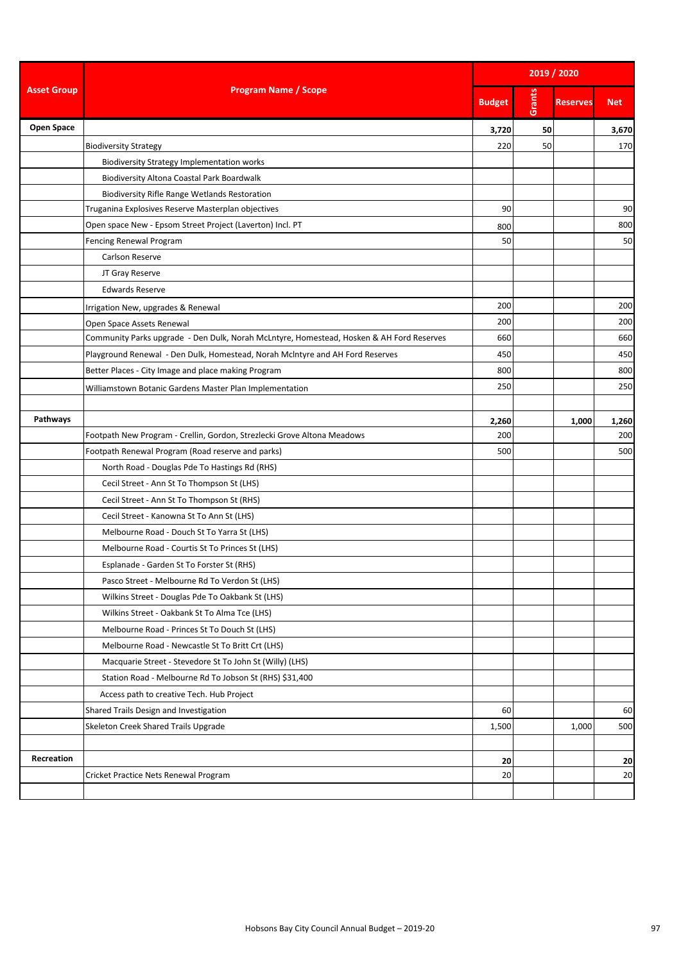|                    | <b>Program Name / Scope</b>                                                              | 2019 / 2020   |        |                 |            |  |
|--------------------|------------------------------------------------------------------------------------------|---------------|--------|-----------------|------------|--|
| <b>Asset Group</b> |                                                                                          | <b>Budget</b> | Grants | <b>Reserves</b> | <b>Net</b> |  |
| Open Space         |                                                                                          | 3,720         | 50     |                 | 3,670      |  |
|                    | <b>Biodiversity Strategy</b>                                                             | 220           | 50     |                 | 170        |  |
|                    | <b>Biodiversity Strategy Implementation works</b>                                        |               |        |                 |            |  |
|                    | Biodiversity Altona Coastal Park Boardwalk                                               |               |        |                 |            |  |
|                    | <b>Biodiversity Rifle Range Wetlands Restoration</b>                                     |               |        |                 |            |  |
|                    | Truganina Explosives Reserve Masterplan objectives                                       | 90            |        |                 | 90         |  |
|                    | Open space New - Epsom Street Project (Laverton) Incl. PT                                | 800           |        |                 | 800        |  |
|                    | Fencing Renewal Program                                                                  | 50            |        |                 | 50         |  |
|                    | Carlson Reserve                                                                          |               |        |                 |            |  |
|                    | JT Gray Reserve                                                                          |               |        |                 |            |  |
|                    | <b>Edwards Reserve</b>                                                                   |               |        |                 |            |  |
|                    | Irrigation New, upgrades & Renewal                                                       | 200           |        |                 | 200        |  |
|                    | Open Space Assets Renewal                                                                | 200           |        |                 | 200        |  |
|                    | Community Parks upgrade - Den Dulk, Norah McLntyre, Homestead, Hosken & AH Ford Reserves | 660           |        |                 | 660        |  |
|                    | Playground Renewal - Den Dulk, Homestead, Norah McIntyre and AH Ford Reserves            | 450           |        |                 | 450        |  |
|                    | Better Places - City Image and place making Program                                      | 800           |        |                 | 800        |  |
|                    | Williamstown Botanic Gardens Master Plan Implementation                                  | 250           |        |                 | 250        |  |
|                    |                                                                                          |               |        |                 |            |  |
| Pathways           |                                                                                          | 2,260         |        | 1,000           | 1,260      |  |
|                    | Footpath New Program - Crellin, Gordon, Strezlecki Grove Altona Meadows                  | 200           |        |                 | 200        |  |
|                    | Footpath Renewal Program (Road reserve and parks)                                        | 500           |        |                 | 500        |  |
|                    | North Road - Douglas Pde To Hastings Rd (RHS)                                            |               |        |                 |            |  |
|                    | Cecil Street - Ann St To Thompson St (LHS)                                               |               |        |                 |            |  |
|                    | Cecil Street - Ann St To Thompson St (RHS)                                               |               |        |                 |            |  |
|                    | Cecil Street - Kanowna St To Ann St (LHS)                                                |               |        |                 |            |  |
|                    | Melbourne Road - Douch St To Yarra St (LHS)                                              |               |        |                 |            |  |
|                    | Melbourne Road - Courtis St To Princes St (LHS)                                          |               |        |                 |            |  |
|                    | Esplanade - Garden St To Forster St (RHS)                                                |               |        |                 |            |  |
|                    | Pasco Street - Melbourne Rd To Verdon St (LHS)                                           |               |        |                 |            |  |
|                    | Wilkins Street - Douglas Pde To Oakbank St (LHS)                                         |               |        |                 |            |  |
|                    | Wilkins Street - Oakbank St To Alma Tce (LHS)                                            |               |        |                 |            |  |
|                    | Melbourne Road - Princes St To Douch St (LHS)                                            |               |        |                 |            |  |
|                    | Melbourne Road - Newcastle St To Britt Crt (LHS)                                         |               |        |                 |            |  |
|                    | Macquarie Street - Stevedore St To John St (Willy) (LHS)                                 |               |        |                 |            |  |
|                    | Station Road - Melbourne Rd To Jobson St (RHS) \$31,400                                  |               |        |                 |            |  |
|                    | Access path to creative Tech. Hub Project                                                |               |        |                 |            |  |
|                    | Shared Trails Design and Investigation                                                   | 60            |        |                 | 60         |  |
|                    | Skeleton Creek Shared Trails Upgrade                                                     | 1,500         |        | 1,000           | 500        |  |
|                    |                                                                                          |               |        |                 |            |  |
| Recreation         |                                                                                          | 20            |        |                 | 20         |  |
|                    | Cricket Practice Nets Renewal Program                                                    | 20            |        |                 | 20         |  |
|                    |                                                                                          |               |        |                 |            |  |
|                    |                                                                                          |               |        |                 |            |  |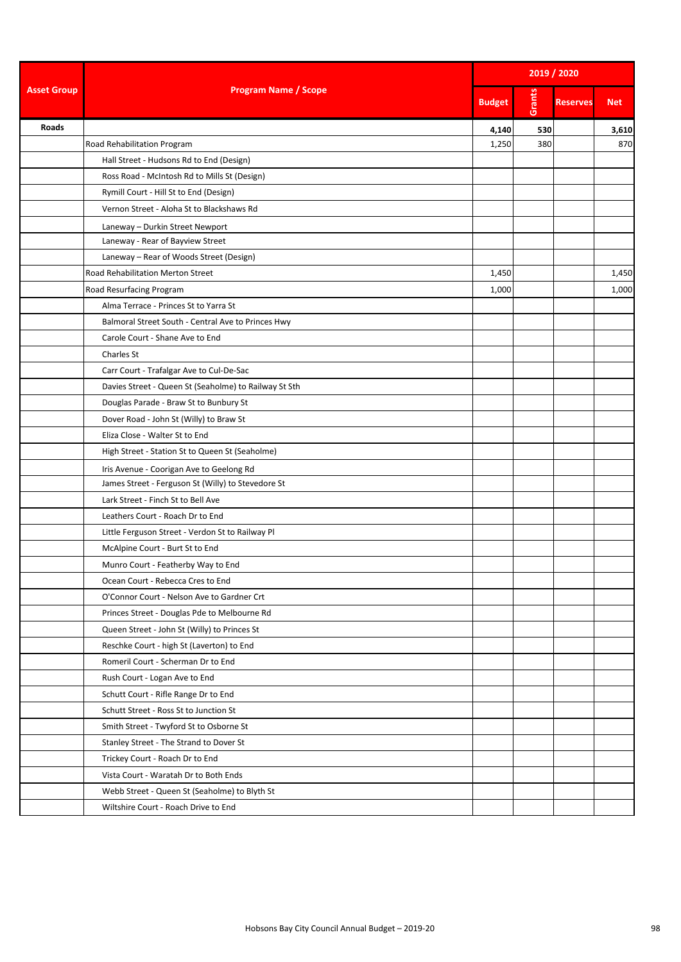|                    | <b>Program Name / Scope</b>                           | 2019 / 2020   |        |                 |            |  |
|--------------------|-------------------------------------------------------|---------------|--------|-----------------|------------|--|
| <b>Asset Group</b> |                                                       | <b>Budget</b> | Grants | <b>Reserves</b> | <b>Net</b> |  |
| Roads              |                                                       | 4,140         | 530    |                 | 3,610      |  |
|                    | Road Rehabilitation Program                           | 1,250         | 380    |                 | 870        |  |
|                    | Hall Street - Hudsons Rd to End (Design)              |               |        |                 |            |  |
|                    | Ross Road - McIntosh Rd to Mills St (Design)          |               |        |                 |            |  |
|                    | Rymill Court - Hill St to End (Design)                |               |        |                 |            |  |
|                    | Vernon Street - Aloha St to Blackshaws Rd             |               |        |                 |            |  |
|                    | Laneway - Durkin Street Newport                       |               |        |                 |            |  |
|                    | Laneway - Rear of Bayview Street                      |               |        |                 |            |  |
|                    | Laneway - Rear of Woods Street (Design)               |               |        |                 |            |  |
|                    | Road Rehabilitation Merton Street                     | 1,450         |        |                 | 1,450      |  |
|                    | Road Resurfacing Program                              | 1,000         |        |                 | 1,000      |  |
|                    | Alma Terrace - Princes St to Yarra St                 |               |        |                 |            |  |
|                    | Balmoral Street South - Central Ave to Princes Hwy    |               |        |                 |            |  |
|                    | Carole Court - Shane Ave to End                       |               |        |                 |            |  |
|                    | Charles St                                            |               |        |                 |            |  |
|                    | Carr Court - Trafalgar Ave to Cul-De-Sac              |               |        |                 |            |  |
|                    | Davies Street - Queen St (Seaholme) to Railway St Sth |               |        |                 |            |  |
|                    | Douglas Parade - Braw St to Bunbury St                |               |        |                 |            |  |
|                    | Dover Road - John St (Willy) to Braw St               |               |        |                 |            |  |
|                    | Eliza Close - Walter St to End                        |               |        |                 |            |  |
|                    | High Street - Station St to Queen St (Seaholme)       |               |        |                 |            |  |
|                    | Iris Avenue - Coorigan Ave to Geelong Rd              |               |        |                 |            |  |
|                    | James Street - Ferguson St (Willy) to Stevedore St    |               |        |                 |            |  |
|                    | Lark Street - Finch St to Bell Ave                    |               |        |                 |            |  |
|                    | Leathers Court - Roach Dr to End                      |               |        |                 |            |  |
|                    | Little Ferguson Street - Verdon St to Railway Pl      |               |        |                 |            |  |
|                    | McAlpine Court - Burt St to End                       |               |        |                 |            |  |
|                    | Munro Court - Featherby Way to End                    |               |        |                 |            |  |
|                    | Ocean Court - Rebecca Cres to End                     |               |        |                 |            |  |
|                    | O'Connor Court - Nelson Ave to Gardner Crt            |               |        |                 |            |  |
|                    | Princes Street - Douglas Pde to Melbourne Rd          |               |        |                 |            |  |
|                    | Queen Street - John St (Willy) to Princes St          |               |        |                 |            |  |
|                    | Reschke Court - high St (Laverton) to End             |               |        |                 |            |  |
|                    | Romeril Court - Scherman Dr to End                    |               |        |                 |            |  |
|                    | Rush Court - Logan Ave to End                         |               |        |                 |            |  |
|                    | Schutt Court - Rifle Range Dr to End                  |               |        |                 |            |  |
|                    | Schutt Street - Ross St to Junction St                |               |        |                 |            |  |
|                    | Smith Street - Twyford St to Osborne St               |               |        |                 |            |  |
|                    | Stanley Street - The Strand to Dover St               |               |        |                 |            |  |
|                    | Trickey Court - Roach Dr to End                       |               |        |                 |            |  |
|                    | Vista Court - Waratah Dr to Both Ends                 |               |        |                 |            |  |
|                    | Webb Street - Queen St (Seaholme) to Blyth St         |               |        |                 |            |  |
|                    | Wiltshire Court - Roach Drive to End                  |               |        |                 |            |  |